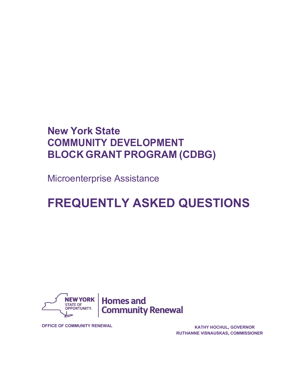# **New York State COMMUNITY DEVELOPMENT BLOCK GRANT PROGRAM (CDBG)**

Microenterprise Assistance

# **FREQUENTLY ASKED QUESTIONS**



**OFFICE OF COMMUNITY RENEWAL KATHY HOCHUL, GOVERNOR**

**RUTHANNE VISNAUSKAS, COMMISSIONER**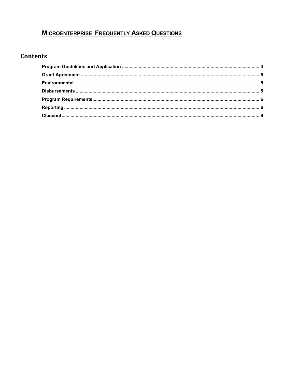## **MICROENTERPRISE FREQUENTLY ASKED QUESTIONS**

### **Contents**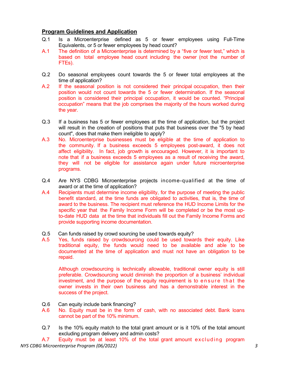#### <span id="page-2-0"></span>**Program Guidelines and Application**

- Q.1 Is a Microenterprise defined as 5 or fewer employees using Full-Time Equivalents, or 5 or fewer employees by head count?
- A.1 The definition of a Microenterprise is determined by a "five or fewer test," which is based on total employee head count including the owner (not the number of FTEs).
- Q.2 Do seasonal employees count towards the 5 or fewer total employees at the time of application?
- A.2 If the seasonal position is not considered their principal occupation, then their position would not count towards the 5 or fewer determination. If the seasonal position is considered their principal occupation, it would be counted. "Principal occupation" means that the job comprises the majority of the hours worked during the year.
- Q.3 If a business has 5 or fewer employees at the time of application, but the project will result in the creation of positions that puts that business over the "5 by head count", does that make them ineligible to apply?
- A.3 No. Microenterprise businesses must be eligible at the time of application to the community. If a business exceeds 5 employees post-award, it does not affect eligibility. In fact, job growth is encouraged. However, it is important to note that if a business exceeds 5 employees as a result of receiving the award, they will not be eligible for assistance again under future microenterprise programs.
- Q.4 Are NYS CDBG Microenterprise projects income-qualified at the time of award or at the time of application?
- A.4 Recipients must determine income eligibility, for the purpose of meeting the public benefit standard, at the time funds are obligated to activities, that is, the time of award to the business. The recipient must reference the HUD Income Limits for the specific year that the Family Income Form will be completed or be the most upto-date HUD data at the time that individuals fill out the Family Income Forms and provide supporting income documentation.
- Q.5 Can funds raised by crowd sourcing be used towards equity?
- A.5 Yes, funds raised by crowdsourcing could be used towards their equity. Like traditional equity, the funds would need to be available and able to be documented at the time of application and must not have an obligation to be repaid.

Although crowdsourcing is technically allowable, traditional owner equity is still preferable. Crowdsourcing would diminish the proportion of a business' individual investment, and the purpose of the equity requirement is to ensure that the owner invests in their own business and has a demonstrable interest in the success of the project.

- Q.6 Can equity include bank financing?
- A.6 No. Equity must be in the form of cash, with no associated debt. Bank loans cannot be part of the 10% minimum.
- Q.7 Is the 10% equity match to the total grant amount or is it 10% of the total amount excluding program delivery and admin costs?

*NYS CDBG Microenterprise Program (06/2022) 3* A.7 Equity must be at least 10% of the total grant amount excluding program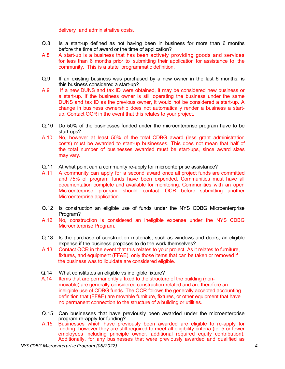delivery and administrative costs.

- Q.8 Is a start-up defined as not having been in business for more than 6 months before the time of award or the time of application?
- A.8 A start-up is a business that has been actively providing goods and services for less than 6 months prior to submitting their application for assistance to the community. This is a state programmatic definition.
- Q.9 If an existing business was purchased by a new owner in the last 6 months, is this business considered a start-up?
- A.9 If a new DUNS and tax ID were obtained, it may be considered new business or a start-up. If the business owner is still operating the business under the same DUNS and tax ID as the previous owner, it would not be considered a start-up. A change in business ownership does not automatically render a business a startup. Contact OCR in the event that this relates to your project.
- Q.10 Do 50% of the businesses funded under the microenterprise program have to be start-ups?
- A.10 No, however at least 50% of the total CDBG award (less grant administration costs) must be awarded to start-up businesses. This does not mean that half of the total number of businesses awarded must be start-ups, since award sizes may vary.
- Q.11 At what point can a community re-apply for microenterprise assistance?
- A.11 A community can apply for a second award once all project funds are committed and 75% of program funds have been expended. Communities must have all documentation complete and available for monitoring. Communities with an open Microenterprise program should contact OCR before submitting another Microenterprise application.
- Q.12 Is construction an eligible use of funds under the NYS CDBG Microenterprise Program?
- A.12 No, construction is considered an ineligible expense under the NYS CDBG Microenterprise Program.
- Q.13 Is the purchase of construction materials, such as windows and doors, an eligible expense if the business proposes to do the work themselves?
- A.13 Contact OCR in the event that this relates to your project. As it relates to furniture, fixtures, and equipment (FF&E), only those items that can be taken or removed if the business was to liquidate are considered eligible.
- Q.14 What constitutes an eligible vs ineligible fixture?
- A.14 Items that are permanently affixed to the structure of the building (nonmovable) are generally considered construction-related and are therefore an ineligible use of CDBG funds. The OCR follows the generally accepted accounting definition that (FF&E) are movable furniture, fixtures, or other equipment that have no permanent connection to the structure of a building or utilities.
- Q.15 Can businesses that have previously been awarded under the microenterprise program re-apply for funding?
- A.15 Businesses which have previously been awarded are eligible to re-apply for funding, however they are still required to meet all eligibility criteria (ie. 5 or fewer employees including principle owner, additional required equity contribution). Additionally, for any businesses that were previously awarded and qualified as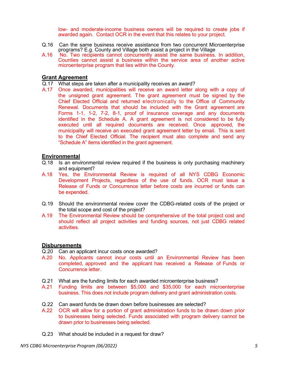low- and moderate-income business owners will be required to create jobs if awarded again. Contact OCR in the event that this relates to your project.

- Q.16 Can the same business receive assistance from two concurrent Microenterprise programs? E.g. County and Village both assist a project in the Village
- A.16 No. Two recipients cannot concurrently assist the same business. In addition, Counties cannot assist a business within the service area of another active microenterprise program that lies within the County.

#### <span id="page-4-0"></span>**Grant Agreement**

- Q.17 What steps are taken after a municipality receives an award?
- A.17 Once awarded, municipalities will receive an award letter along with *a* copy of the unsigned grant agreement. T he grant agreement must be signed by the Chief Elected Official and returned electronically to the Office of Community Renewal. Documents that should be included with the Grant agreement are Forms 1-1, 1-2, 7-2, 8-1, proof of insurance coverage and any documents identified in the Schedule A. A grant agreement is not considered to be fully executed until all required documents are received. Once approved, the municipality will receive an executed grant agreement letter by email. This is sent to the Chief Elected Official. The recipient must also complete and send any "Schedule A" items identified in the grant agreement.

#### <span id="page-4-1"></span>**Environmental**

- Q.18 Is an environmental review required if the business is only purchasing machinery and equipment?
- A.18 Yes, the Environmental Review is required of all NYS CDBG Economic Development Projects, regardless of the use of funds. OCR must issue a Release of Funds or Concurrence letter before costs are incurred or funds can be expended.
- Q.19 Should the environmental review cover the CDBG-related costs of the project or the total scope and cost of the project?
- A.19 The Environmental Review should be comprehensive of the total project cost and should reflect all project activities and funding sources, not just CDBG related activities.

#### <span id="page-4-2"></span>**Disbursements**

- Q.20 Can an applicant incur costs once awarded?
- A.20 No. Applicants cannot incur costs until an Environmental Review has been completed, approved and the applicant has received a Release of Funds or Concurrence letter.
- Q.21 What are the funding limits for each awarded microenterprise business?
- A.21 Funding limits are between \$5,000 and \$35,000 for each microenterprise business. This does not include program delivery and grant administration costs.
- Q.22 Can award funds be drawn down before businesses are selected?
- A.22 OCR will allow for a portion of grant administration funds to be drawn down prior to businesses being selected. Funds associated with program delivery cannot be drawn prior to businesses being selected.
- Q.23 What should be included in a request for draw?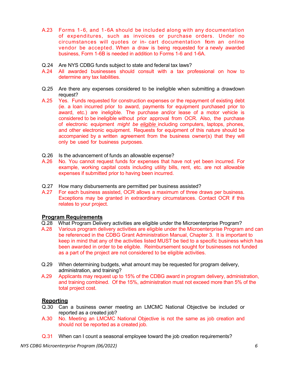- A.23 Forms 1-6, and 1-6A should be included along with any documentation of expenditures, such as invoices or purchase orders. Under no circumstances will quotes or in- cart documentation from an online vendor be accepted. When a draw is being requested for a newly awarded business, Form 1-6B is needed in addition to Forms 1-6 and 1-6A.
- Q.24 Are NYS CDBG funds subject to state and federal tax laws?
- A.24 All awarded businesses should consult with a tax professional on how to determine any tax liabilities.
- Q.25 Are there any expenses considered to be ineligible when submitting a drawdown request?
- A.25 Yes. Funds requested for construction expenses or the repayment of existing debt (ie. a loan incurred prior to award, payments for equipment purchased prior to award, etc.) are ineligible. The purchase and/or lease of a motor vehicle is considered to be ineligible without prior approval from OCR. Also, the purchase of electronic equipment *might be eligible* including computers, laptops, phones, and other electronic equipment. Requests for equipment of this nature should be accompanied by a written agreement from the business owner(s) that they will only be used for business purposes.
- Q.26 Is the advancement of funds an allowable expense?
- A.26 No. You cannot request funds for expenses that have not yet been incurred. For example, working capital costs including utility bills, rent, etc. are not allowable expenses if submitted prior to having been incurred.
- Q.27 How many disbursements are permitted per business assisted?
- A.27 For each business assisted, OCR allows a maximum of three draws per business. Exceptions may be granted in extraordinary circumstances. Contact OCR if this relates to your project.

#### <span id="page-5-0"></span>**Program Requirements**

- Q.28 What Program Delivery activities are eligible under the Microenterprise Program?
- A.28 Various program delivery activities are eligible under the Microenterprise Program and can be referenced in the CDBG Grant Administration Manual, Chapter 3. It is important to keep in mind that any of the activities listed MUST be tied to a specific business which has been awarded in order to be eligible. Reimbursement sought for businesses not funded as a part of the project are not considered to be eligible activities.
- Q.29 When determining budgets, what amount may be requested for program delivery, administration, and training?
- A.29 Applicants may request up to 15% of the CDBG award in program delivery, administration, and training combined. Of the 15%, administration must not exceed more than 5% of the total project cost.

#### <span id="page-5-1"></span>**Reporting**

- Q.30 Can a business owner meeting an LMCMC National Objective be included or reported as a created job?
- A.30 No. Meeting an LMCMC National Objective is not the same as job creation and should not be reported as a created job.
- Q.31 When can I count a seasonal employee toward the job creation requirements?

*NYS CDBG Microenterprise Program (06/2022) 6*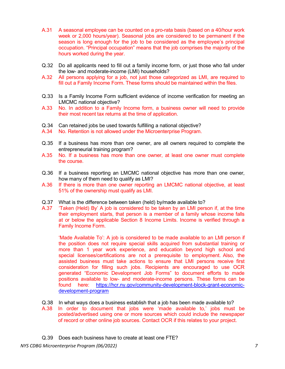- A.31 A seasonal employee can be counted on a pro-rata basis (based on a 40/hour work week or 2,000 hours/year). Seasonal jobs are considered to be permanent if the season is long enough for the job to be considered as the employee's principal occupation. "Principal occupation" means that the job comprises the majority of the hours worked during the year.
- Q.32 Do all applicants need to fill out a family income form, or just those who fall under the low- and moderate-income (LMI) households?
- A.32 All persons applying for a job, not just those categorized as LMI, are required to fill out a Family Income Form. These forms should be maintained within the files.
- Q.33 Is a Family Income Form sufficient evidence of income verification for meeting an LMCMC national objective?
- A.33 No. In addition to a Family Income form, a business owner will need to provide their most recent tax returns at the time of application.
- Q.34 Can retained jobs be used towards fulfilling a national objective?
- A.34 No. Retention is not allowed under the Microenterprise Program.
- Q.35 If a business has more than one owner, are all owners required to complete the entrepreneurial training program?
- A.35 No. If a business has more than one owner, at least one owner must complete the course.
- Q.36 If a business reporting an LMCMC national objective has more than one owner, how many of them need to qualify as LMI?
- A.36 If there is more than one owner reporting an LMCMC national objective, at least 51% of the ownership must qualify as LMI.
- Q.37 What is the difference between taken (held) by/made available to?
- A.37 'Taken (Held) By' A job is considered to be taken by an LMI person if, at the time their employment starts, that person is a member of a family whose income falls at or below the applicable Section 8 Income Limits. Income is verified through a Family Income Form.

'Made Available To': A job is considered to be made available to an LMI person if the position does not require special skills acquired from substantial training or more than 1 year work experience, and education beyond high school and special licenses/certifications are not a prerequisite to employment. Also, the assisted business must take actions to ensure that LMI persons receive first consideration for filling such jobs. Recipients are encouraged to use OCR generated "Economic Development Job Forms" to document efforts to made positions available to low- and moderate-income persons. These forms can be found here: [https://hcr.ny.gov/community-development-block-grant-economic](https://hcr.ny.gov/community-development-block-grant-economic-development-program)[development-program](https://hcr.ny.gov/community-development-block-grant-economic-development-program)

- Q.38 In what ways does a business establish that a job has been made available to?
- A.38 In order to document that jobs were 'made available to,' jobs must be posted/advertised using one or more sources which could include the newspaper of record or other online job sources. Contact OCR if this relates to your project.
- Q.39 Does each business have to create at least one FTE?